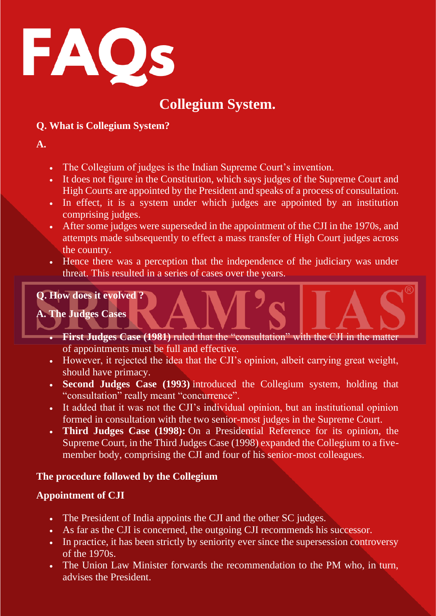

# **Collegium System.**

# **Q. What is Collegium System?**

**A.**

- The Collegium of judges is the Indian Supreme Court's invention.
- It does not figure in the Constitution, which says judges of the Supreme Court and High Courts are appointed by the President and speaks of a process of consultation.
- In effect, it is a system under which judges are appointed by an institution comprising judges.
- After some judges were superseded in the appointment of the CJI in the 1970s, and attempts made subsequently to effect a mass transfer of High Court judges across the country.
- Hence there was a perception that the independence of the judiciary was under threat. This resulted in a series of cases over the years.

**Q. How does it evolved ?**

- **A. The Judges Cases**
	- **First Judges Case (1981)** ruled that the "consultation" with the CJI in the matter of appointments must be full and effective.
	- However, it rejected the idea that the CJI's opinion, albeit carrying great weight, should have primacy.
	- **Second Judges Case (1993)** introduced the Collegium system, holding that "consultation" really meant "concurrence".
	- It added that it was not the CJI's individual opinion, but an institutional opinion formed in consultation with the two senior-most judges in the Supreme Court.
	- **Third Judges Case (1998):** On a Presidential Reference for its opinion, the Supreme Court, in the Third Judges Case (1998) expanded the Collegium to a fivemember body, comprising the CJI and four of his senior-most colleagues.

# **The procedure followed by the Collegium**

# **Appointment of CJI**

- The President of India appoints the CJI and the other SC judges.
- As far as the CJI is concerned, the outgoing CJI recommends his successor.
- In practice, it has been strictly by seniority ever since the supersession controversy of the 1970s.
- The Union Law Minister forwards the recommendation to the PM who, in turn, advises the President.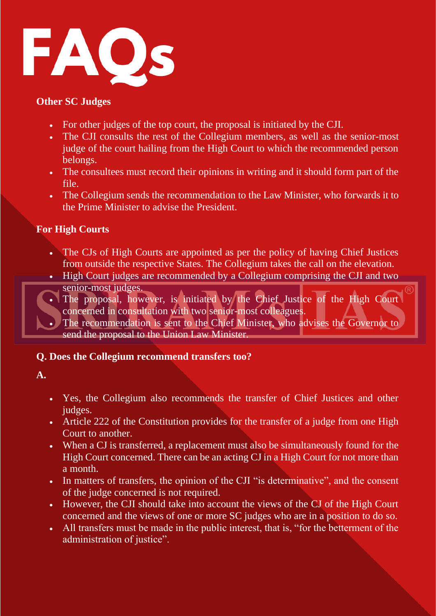

#### **Other SC Judges**

- For other judges of the top court, the proposal is initiated by the CJI.
- The CJI consults the rest of the Collegium members, as well as the senior-most judge of the court hailing from the High Court to which the recommended person belongs.
- The consultees must record their opinions in writing and it should form part of the file.
- The Collegium sends the recommendation to the Law Minister, who forwards it to the Prime Minister to advise the President.

# **For High Courts**

- The CJs of High Courts are appointed as per the policy of having Chief Justices from outside the respective States. The Collegium takes the call on the elevation.
- High Court judges are recommended by a Collegium comprising the CJI and two senior-most judges.
- The proposal, however, is initiated by the Chief Justice of the High Court concerned in consultation with two senior-most colleagues.
- The recommendation is sent to the Chief Minister, who advises the Governor to send the proposal to the Union Law Minister.

# **Q. Does the Collegium recommend transfers too?**

**A.**

- Yes, the Collegium also recommends the transfer of Chief Justices and other judges.
- Article 222 of the Constitution provides for the transfer of a judge from one High Court to another.
- When a CJ is transferred, a replacement must also be simultaneously found for the High Court concerned. There can be an acting CJ in a High Court for not more than a month.
- In matters of transfers, the opinion of the CJI "is determinative", and the consent of the judge concerned is not required.
- However, the CJI should take into account the views of the CJ of the High Court concerned and the views of one or more SC judges who are in a position to do so.
- All transfers must be made in the public interest, that is, "for the betterment of the administration of justice".